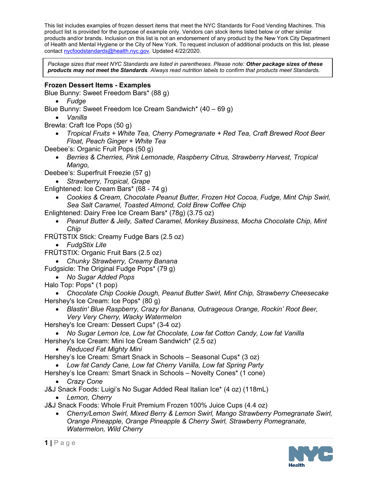This list includes examples of frozen dessert items that meet the NYC Standards for Food Vending Machines. This product list is provided for the purpose of example only. Vendors can stock items listed below or other similar products and/or brands. Inclusion on this list is not an endorsement of any product by the New York City Department of Health and Mental Hygiene or the City of New York. To request inclusion of additional products on this list, please contac[t nycfoodstandards@health.nyc.gov.](mailto:nycfoodstandards@health.nyc.gov) Updated 4/22/2020.

*Package sizes that meet NYC Standards are listed in parentheses. Please note: Other package sizes of these products may not meet the Standards. Always read nutrition labels to confirm that products meet Standards.*

## **Frozen Dessert Items - Examples**

Blue Bunny: Sweet Freedom Bars\* (88 g)

- *Fudge*
- Blue Bunny: Sweet Freedom Ice Cream Sandwich\* (40 69 g)
	- *Vanilla*

Brewla: Craft Ice Pops (50 g)

• *Tropical Fruits + White Tea, Cherry Pomegranate + Red Tea, Craft Brewed Root Beer Float, Peach Ginger + White Tea*

Deebee's: Organic Fruit Pops (50 g)

• *Berries & Cherries, Pink Lemonade, Raspberry Citrus, Strawberry Harvest, Tropical Mango,* 

Deebee's: Superfruit Freezie (57 g)

• *Strawberry, Tropical, Grape*

- Enlightened: Ice Cream Bars\* (68 74 g)
	- *Cookies & Cream, Chocolate Peanut Butter, Frozen Hot Cocoa, Fudge, Mint Chip Swirl, Sea Salt Caramel, Toasted Almond, Cold Brew Coffee Chip*

Enlightened: Dairy Free Ice Cream Bars\* (78g) (3.75 oz)

- *Peanut Butter & Jelly, Salted Caramel, Monkey Business, Mocha Chocolate Chip, Mint Chip*
- FRÜTSTIX Stick: Creamy Fudge Bars (2.5 oz)
	- *FudgStix Lite*
- FRÜTSTIX: Organic Fruit Bars (2.5 oz)
- *Chunky Strawberry, Creamy Banana*

Fudgsicle: The Original Fudge Pops\* (79 g)

- *No Sugar Added Pops*
- Halo Top: Pops\* (1 pop)

• *Chocolate Chip Cookie Dough, Peanut Butter Swirl, Mint Chip, Strawberry Cheesecake* Hershey's Ice Cream: Ice Pops\* (80 g)

• *Blastin' Blue Raspberry, Crazy for Banana, Outrageous Orange, Rockin' Root Beer, Very Very Cherry, Wacky Watermelon*

Hershey's Ice Cream: Dessert Cups\* (3-4 oz)

- *No Sugar Lemon Ice, Low fat Chocolate, Low fat Cotton Candy, Low fat Vanilla*  Hershey's Ice Cream: Mini Ice Cream Sandwich\* (2.5 oz)
	- *Reduced Fat Mighty Mini*

Hershey's Ice Cream: Smart Snack in Schools – Seasonal Cups\* (3 oz)

• *Low fat Candy Cane, Low fat Cherry Vanilla, Low fat Spring Party* 

- Hershey's Ice Cream: Smart Snack in Schools Novelty Cones\* (1 cone)
	- *Crazy Cone*

J&J Snack Foods: Luigi's No Sugar Added Real Italian Ice\* (4 oz) (118mL)

• *Lemon, Cherry*

J&J Snack Foods: Whole Fruit Premium Frozen 100% Juice Cups (4.4 oz)

• *Cherry/Lemon Swirl, Mixed Berry & Lemon Swirl, Mango Strawberry Pomegranate Swirl, Orange Pineapple, Orange Pineapple & Cherry Swirl, Strawberry Pomegranate, Watermelon, Wild Cherry*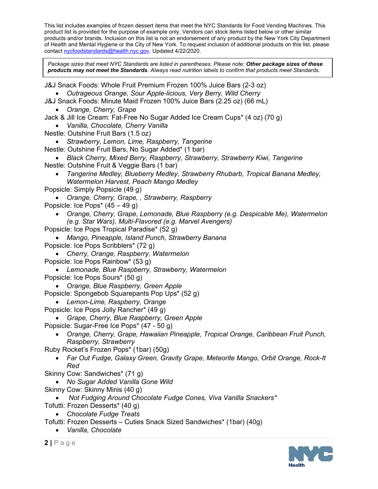This list includes examples of frozen dessert items that meet the NYC Standards for Food Vending Machines. This product list is provided for the purpose of example only. Vendors can stock items listed below or other similar products and/or brands. Inclusion on this list is not an endorsement of any product by the New York City Department of Health and Mental Hygiene or the City of New York. To request inclusion of additional products on this list, please contac[t nycfoodstandards@health.nyc.gov.](mailto:nycfoodstandards@health.nyc.gov) Updated 4/22/2020.

*Package sizes that meet NYC Standards are listed in parentheses. Please note: Other package sizes of these products may not meet the Standards. Always read nutrition labels to confirm that products meet Standards.*

J&J Snack Foods: Whole Fruit Premium Frozen 100% Juice Bars (2-3 oz)

- *Outrageous Orange, Sour Apple-licious, Very Berry, Wild Cherry*
- J&J Snack Foods: Minute Maid Frozen 100% Juice Bars (2.25 oz) (66 mL)
	- *Orange, Cherry, Grape*

Jack & Jill Ice Cream: Fat-Free No Sugar Added Ice Cream Cups\* (4 oz) (70 g)

• *Vanilla, Chocolate, Cherry Vanilla*

Nestle: Outshine Fruit Bars (1.5 oz)

• *Strawberry, Lemon, Lime, Raspberry, Tangerine*

- Nestle: Outshine Fruit Bars, No Sugar Added\* (1 bar)
- *Black Cherry, Mixed Berry, Raspberry, Strawberry, Strawberry Kiwi, Tangerine*  Nestle: Outshine Fruit & Veggie Bars (1 bar)
	- *Tangerine Medley, Blueberry Medley, Strawberry Rhubarb, Tropical Banana Medley, Watermelon Harvest, Peach Mango Medley*
- Popsicle: Simply Popsicle (49 g)
- *Orange, Cherry, Grape, , Strawberry, Raspberry* Popsicle: Ice Pops\* (45 – 49 g)
	- *Orange, Cherry, Grape, Lemonade, Blue Raspberry (e.g. Despicable Me), Watermelon (e.g. Star Wars), Multi-Flavored (e.g. Marvel Avengers)*
- Popsicle: Ice Pops Tropical Paradise\* (52 g)
- *Mango, Pineapple, Island Punch, Strawberry Banana* Popsicle: Ice Pops Scribblers\* (72 g)
- *Cherry, Orange, Raspberry, Watermelon*
- Popsicle: Ice Pops Rainbow\* (53 g)
- *Lemonade, Blue Raspberry, Strawberry, Watermelon* Popsicle: Ice Pops Sours\* (50 g)
- *Orange, Blue Raspberry, Green Apple*
- Popsicle: Spongebob Squarepants Pop Ups\* (52 g)
- *Lemon-Lime, Raspberry, Orange*
- Popsicle: Ice Pops Jolly Rancher\* (49 g)
	- *Grape, Cherry, Blue Raspberry, Green Apple*
- Popsicle: Sugar-Free Ice Pops\* (47 50 g)
	- *Orange, Cherry, Grape, Hawaiian Pineapple, Tropical Orange, Caribbean Fruit Punch, Raspberry, Strawberry*
- Ruby Rocket's Frozen Pops\* (1bar) (50g)
	- *Far Out Fudge, Galaxy Green, Gravity Grape, Meteorite Mango, Orbit Orange, Rock-It Red*
- Skinny Cow: Sandwiches\* (71 g)
	- *No Sugar Added Vanilla Gone Wild*
- Skinny Cow: Skinny Minis (40 g)

• *Not Fudging Around Chocolate Fudge Cones, Viva Vanilla Snackers\**  Tofutti: Frozen Desserts\* (40 g)

• *Chocolate Fudge Treats*

Tofutti: Frozen Desserts – Cuties Snack Sized Sandwiches\* (1bar) (40g)

• *Vanilla, Chocolate*

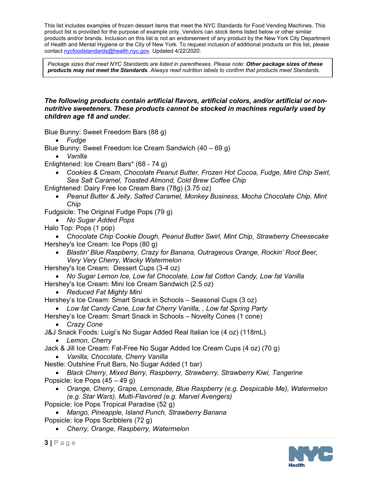This list includes examples of frozen dessert items that meet the NYC Standards for Food Vending Machines. This product list is provided for the purpose of example only. Vendors can stock items listed below or other similar products and/or brands. Inclusion on this list is not an endorsement of any product by the New York City Department of Health and Mental Hygiene or the City of New York. To request inclusion of additional products on this list, please contac[t nycfoodstandards@health.nyc.gov.](mailto:nycfoodstandards@health.nyc.gov) Updated 4/22/2020.

*Package sizes that meet NYC Standards are listed in parentheses. Please note: Other package sizes of these products may not meet the Standards. Always read nutrition labels to confirm that products meet Standards.*

## *The following products contain artificial flavors, artificial colors, and/or artificial or nonnutritive sweeteners. These products cannot be stocked in machines regularly used by children age 18 and under.*

Blue Bunny: Sweet Freedom Bars (88 g)

• *Fudge* 

Blue Bunny: Sweet Freedom Ice Cream Sandwich (40 – 69 g)

• *Vanilla*

Enlightened: Ice Cream Bars\* (68 - 74 g)

- *Cookies & Cream, Chocolate Peanut Butter, Frozen Hot Cocoa, Fudge, Mint Chip Swirl, Sea Salt Caramel, Toasted Almond, Cold Brew Coffee Chip*
- Enlightened: Dairy Free Ice Cream Bars (78g) (3.75 oz)
	- *Peanut Butter & Jelly, Salted Caramel, Monkey Business, Mocha Chocolate Chip, Mint Chip*
- Fudgsicle: The Original Fudge Pops (79 g)

• *No Sugar Added Pops* 

Halo Top: Pops (1 pop)

• *Chocolate Chip Cookie Dough, Peanut Butter Swirl, Mint Chip, Strawberry Cheesecake* Hershey's Ice Cream: Ice Pops (80 g)

• *Blastin' Blue Raspberry, Crazy for Banana, Outrageous Orange, Rockin' Root Beer, Very Very Cherry, Wacky Watermelon*

Hershey's Ice Cream: Dessert Cups (3-4 oz)

• No Sugar Lemon Ice, Low fat Chocolate, Low fat Cotton Candy, Low fat Vanilla Hershey's Ice Cream: Mini Ice Cream Sandwich (2.5 oz)

• *Reduced Fat Mighty Mini*

Hershey's Ice Cream: Smart Snack in Schools – Seasonal Cups (3 oz)

• *Low fat Candy Cane, Low fat Cherry Vanilla, , Low fat Spring Party* 

Hershey's Ice Cream: Smart Snack in Schools – Novelty Cones (1 cone) • *Crazy Cone*

J&J Snack Foods: Luigi's No Sugar Added Real Italian Ice (4 oz) (118mL)

• *Lemon, Cherry*

Jack & Jill Ice Cream: Fat-Free No Sugar Added Ice Cream Cups (4 oz) (70 g) • *Vanilla, Chocolate, Cherry Vanilla*

Nestle: Outshine Fruit Bars, No Sugar Added (1 bar)

• *Black Cherry, Mixed Berry, Raspberry, Strawberry, Strawberry Kiwi, Tangerine*  Popsicle: Ice Pops (45 – 49 g)

- *Orange, Cherry, Grape, Lemonade, Blue Raspberry (e.g. Despicable Me), Watermelon (e.g. Star Wars), Multi-Flavored (e.g. Marvel Avengers)*
- Popsicle: Ice Pops Tropical Paradise (52 g)
- *Mango, Pineapple, Island Punch, Strawberry Banana* Popsicle: Ice Pops Scribblers (72 g)
	- *Cherry, Orange, Raspberry, Watermelon*